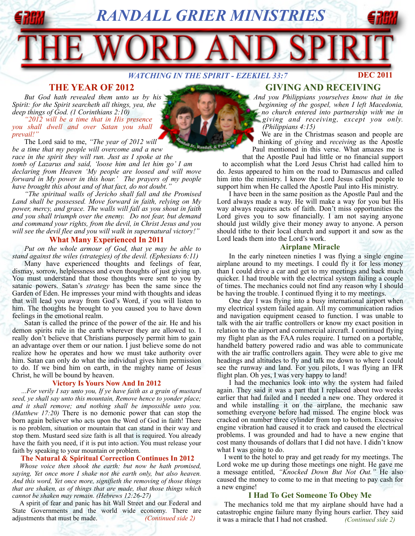*RANDALL GRIER MINISTRIES*

*WATCHING IN THE SPIRIT - EZEKIEL 33:7* 

## **THE YEAR OF 2012**

*But God hath revealed them unto us by his Spirit: for the Spirit searcheth all things, yea, the deep things of God. (1 Corinthians 2:10)*

*"2012 will be a time that in His presence you shall dwell and over Satan you shall prevail!"*

The Lord said to me, *"The year of 2012 will be a time that my people will overcome and a new race in the spirit they will run. Just as I spoke at the tomb of Lazarus and said, 'loose him and let him go' I am declaring from Heaven 'My people are loosed and will move forward in My power in this hour.' The prayers of my people have brought this about and of that fact, do not doubt."*

*"The spiritual walls of Jericho shall fall and the Promised Land shall be possessed. Move forward in faith, relying on My power, mercy, and grace. The walls will fall as you shout in faith and you shall triumph over the enemy. Do not fear, but demand and command your rights, from the devil, in Christ Jesus and you will see the devil flee and you will walk in supernatural victory!"*

### **What Many Experienced In 2011**

*Put on the whole armour of God, that ye may be able to stand against the wiles (strategies) of the devil. (Ephesians 6:11)* 

Many have experienced thoughts and feelings of fear, dismay, sorrow, helplessness and even thoughts of just giving up. You must understand that those thoughts were sent to you by satanic powers. Satan's *strategy* has been the same since the Garden of Eden. He impresses your mind with thoughts and ideas that will lead you away from God's Word, if you will listen to him. The thoughts he brought to you caused you to have down feelings in the emotional realm.

Satan is called the prince of the power of the air. He and his demon spirits rule in the earth wherever they are allowed to. I really don't believe that Christians purposely permit him to gain an advantage over them or our nation. I just believe some do not realize how he operates and how we must take authority over him. Satan can only do what the individual gives him permission to do. If we bind him on earth, in the mighty name of Jesus Christ, he will be bound by heaven.

#### **Victory Is Yours Now And In 2012**

 *...For verily I say unto you, If ye have faith as a grain of mustard seed, ye shall say unto this mountain, Remove hence to yonder place; and it shall remove; and nothing shall be impossible unto you. (Matthew 17:20)* There is no demonic power that can stop the born again believer who acts upon the Word of God in faith! There is no problem, situation or mountain that can stand in their way and stop them. Mustard seed size faith is all that is required. You already have the faith you need, if it is put into action. You must release your faith by speaking to your mountain or problem.

#### **The Natural & Spiritual Correction Continues In 2012**

*Whose voice then shook the earth: but now he hath promised, saying, Yet once more I shake not the earth only, but also heaven. And this word, Yet once more, signifieth the removing of those things that are shaken, as of things that are made, that those things which cannot be shaken may remain. (Hebrews 12:26-27)*

A spirit of fear and panic has hit Wall Street and our Federal and State Governments and the world wide economy. There are adjustments that must be made. *(Continued side 2)*

## **GIVING AND RECEIVING**

**DEC 2011**

*And you Philippians yourselves know that in the beginning of the gospel, when I left Macedonia, no church entered into partnership with me in giving and receiving, except you only. (Philippians 4:15)*

We are in the Christmas season and people are thinking of *giving* and *receiving* as the Apostle Paul mentioned in this verse. What amazes me is

that the Apostle Paul had little or no financial support to accomplish what the Lord Jesus Christ had called him to do. Jesus appeared to him on the road to Damascus and called him into the ministry. I know the Lord Jesus called people to support him when He called the Apostle Paul into His ministry.

I have been in the same position as the Apostle Paul and the Lord always made a way. He will make a way for you but His way always requires acts of faith. Don't miss opportunities the Lord gives you to sow financially. I am not saying anyone should just wildly give their money away to anyone. A person should tithe to their local church and support it and sow as the Lord leads them into the Lord's work.

#### **Airplane Miracle**

In the early nineteen nineties I was flying a single engine airplane around to my meetings. I could fly it for less money than I could drive a car and get to my meetings and back much quicker. I had trouble with the electrical system failing a couple of times. The mechanics could not find any reason why I should be having the trouble. I continued flying it to my meetings.

One day I was flying into a busy international airport when my electrical system failed again. All my communication radios and navigation equipment ceased to function. I was unable to talk with the air traffic controllers or know my exact position in relation to the airport and commercial aircraft. I continued flying my flight plan as the FAA rules require. I turned on a portable, handheld battery powered radio and was able to communicate with the air traffic controllers again. They were able to give me headings and altitudes to fly and talk me down to where I could see the runway and land. For you pilots, I was flying an IFR flight plan. Oh yes, I was very happy to land!

I had the mechanics look into why the system had failed again. They said it was a part that I replaced about two weeks earlier that had failed and I needed a new one. They ordered it and while installing it on the airplane, the mechanic saw something everyone before had missed. The engine block was cracked on number three cylinder from top to bottom. Excessive engine vibration had caused it to crack and caused the electrical problems. I was grounded and had to have a new engine that cost many thousands of dollars that I did not have. I didn't know what I was going to do.

I went to the hotel to pray and get ready for my meetings. The Lord woke me up during those meetings one night. He gave me a message entitled, *"Knocked Down But Not Out."* He also caused the money to come to me in that meeting to pay cash for a new engine!

#### **I Had To Get Someone To Obey Me**

The mechanics told me that my airplane should have had a catastrophic engine failure many flying hours earlier. They said it was a miracle that I had not crashed. *(Continued side 2)*